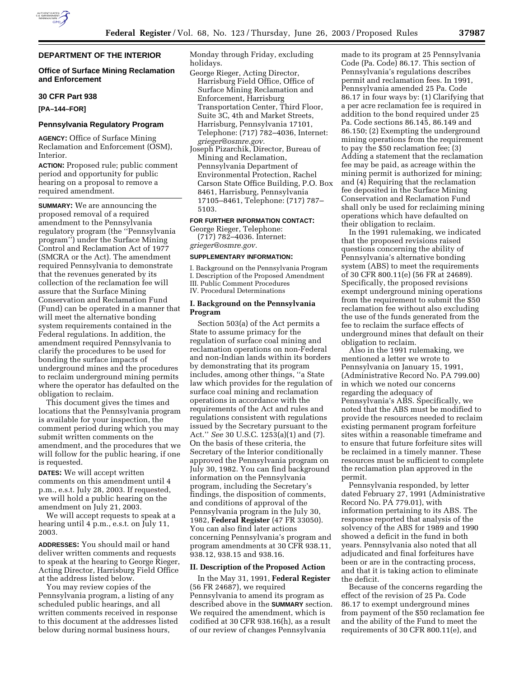# **DEPARTMENT OF THE INTERIOR**

#### **Office of Surface Mining Reclamation and Enforcement**

#### **30 CFR Part 938**

**[PA–144–FOR]** 

### **Pennsylvania Regulatory Program**

**AGENCY:** Office of Surface Mining Reclamation and Enforcement (OSM), Interior.

**ACTION:** Proposed rule; public comment period and opportunity for public hearing on a proposal to remove a required amendment.

**SUMMARY:** We are announcing the proposed removal of a required amendment to the Pennsylvania regulatory program (the ''Pennsylvania program'') under the Surface Mining Control and Reclamation Act of 1977 (SMCRA or the Act). The amendment required Pennsylvania to demonstrate that the revenues generated by its collection of the reclamation fee will assure that the Surface Mining Conservation and Reclamation Fund (Fund) can be operated in a manner that will meet the alternative bonding system requirements contained in the Federal regulations. In addition, the amendment required Pennsylvania to clarify the procedures to be used for bonding the surface impacts of underground mines and the procedures to reclaim underground mining permits where the operator has defaulted on the obligation to reclaim.

This document gives the times and locations that the Pennsylvania program is available for your inspection, the comment period during which you may submit written comments on the amendment, and the procedures that we will follow for the public hearing, if one is requested.

**DATES:** We will accept written comments on this amendment until 4 p.m., e.s.t. July 28, 2003. If requested, we will hold a public hearing on the amendment on July 21, 2003.

We will accept requests to speak at a hearing until 4 p.m., e.s.t. on July 11, 2003.

**ADDRESSES:** You should mail or hand deliver written comments and requests to speak at the hearing to George Rieger, Acting Director, Harrisburg Field Office at the address listed below.

You may review copies of the Pennsylvania program, a listing of any scheduled public hearings, and all written comments received in response to this document at the addresses listed below during normal business hours,

Monday through Friday, excluding holidays.

- George Rieger, Acting Director, Harrisburg Field Office, Office of Surface Mining Reclamation and Enforcement, Harrisburg Transportation Center, Third Floor, Suite 3C, 4th and Market Streets, Harrisburg, Pennsylvania 17101, Telephone: (717) 782–4036, Internet: *grieger@osmre.gov.*
- Joseph Pizarchik, Director, Bureau of Mining and Reclamation, Pennsylvania Department of Environmental Protection, Rachel Carson State Office Building, P.O. Box 8461, Harrisburg, Pennsylvania 17105–8461, Telephone: (717) 787– 5103.

### **FOR FURTHER INFORMATION CONTACT:**

George Rieger, Telephone: (717) 782–4036. Internet: *grieger@osmre.gov.*

#### **SUPPLEMENTARY INFORMATION:**

I. Background on the Pennsylvania Program I. Description of the Proposed Amendment III. Public Comment Procedures IV. Procedural Determinations

#### **I. Background on the Pennsylvania Program**

Section 503(a) of the Act permits a State to assume primacy for the regulation of surface coal mining and reclamation operations on non-Federal and non-Indian lands within its borders by demonstrating that its program includes, among other things, ''a State law which provides for the regulation of surface coal mining and reclamation operations in accordance with the requirements of the Act and rules and regulations consistent with regulations issued by the Secretary pursuant to the Act.'' *See* 30 U.S.C. 1253(a)(1) and (7). On the basis of these criteria, the Secretary of the Interior conditionally approved the Pennsylvania program on July 30, 1982. You can find background information on the Pennsylvania program, including the Secretary's findings, the disposition of comments, and conditions of approval of the Pennsylvania program in the July 30, 1982, **Federal Register** (47 FR 33050). You can also find later actions concerning Pennsylvania's program and program amendments at 30 CFR 938.11, 938.12, 938.15 and 938.16.

# **II. Description of the Proposed Action**

In the May 31, 1991, **Federal Register** (56 FR 24687), we required Pennsylvania to amend its program as described above in the **SUMMARY** section. We required the amendment, which is codified at 30 CFR 938.16(h), as a result of our review of changes Pennsylvania

made to its program at 25 Pennsylvania Code (Pa. Code) 86.17. This section of Pennsylvania's regulations describes permit and reclamation fees. In 1991, Pennsylvania amended 25 Pa. Code 86.17 in four ways by: (1) Clarifying that a per acre reclamation fee is required in addition to the bond required under 25 Pa. Code sections 86.145, 86.149 and 86.150; (2) Exempting the underground mining operations from the requirement to pay the \$50 reclamation fee; (3) Adding a statement that the reclamation fee may be paid, as acreage within the mining permit is authorized for mining; and (4) Requiring that the reclamation fee deposited in the Surface Mining Conservation and Reclamation Fund shall only be used for reclaiming mining operations which have defaulted on their obligation to reclaim.

In the 1991 rulemaking, we indicated that the proposed revisions raised questions concerning the ability of Pennsylvania's alternative bonding system (ABS) to meet the requirements of 30 CFR 800.11(e) (56 FR at 24689). Specifically, the proposed revisions exempt underground mining operations from the requirement to submit the \$50 reclamation fee without also excluding the use of the funds generated from the fee to reclaim the surface effects of underground mines that default on their obligation to reclaim.

Also in the 1991 rulemaking, we mentioned a letter we wrote to Pennsylvania on January 15, 1991, (Administrative Record No. PA 799.00) in which we noted our concerns regarding the adequacy of Pennsylvania's ABS. Specifically, we noted that the ABS must be modified to provide the resources needed to reclaim existing permanent program forfeiture sites within a reasonable timeframe and to ensure that future forfeiture sites will be reclaimed in a timely manner. These resources must be sufficient to complete the reclamation plan approved in the permit.

Pennsylvania responded, by letter dated February 27, 1991 (Administrative Record No. PA 779.01), with information pertaining to its ABS. The response reported that analysis of the solvency of the ABS for 1989 and 1990 showed a deficit in the fund in both years. Pennsylvania also noted that all adjudicated and final forfeitures have been or are in the contracting process, and that it is taking action to eliminate the deficit.

Because of the concerns regarding the effect of the revision of 25 Pa. Code 86.17 to exempt underground mines from payment of the \$50 reclamation fee and the ability of the Fund to meet the requirements of 30 CFR 800.11(e), and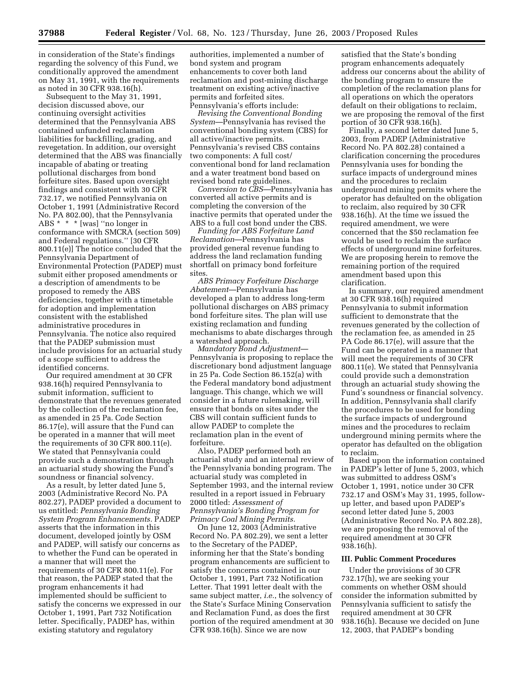in consideration of the State's findings regarding the solvency of this Fund, we conditionally approved the amendment on May 31, 1991, with the requirements as noted in 30 CFR 938.16(h).

Subsequent to the May 31, 1991, decision discussed above, our continuing oversight activities determined that the Pennsylvania ABS contained unfunded reclamation liabilities for backfilling, grading, and revegetation. In addition, our oversight determined that the ABS was financially incapable of abating or treating pollutional discharges from bond forfeiture sites. Based upon oversight findings and consistent with 30 CFR 732.17, we notified Pennsylvania on October 1, 1991 (Administrative Record No. PA 802.00), that the Pennsylvania ABS \* \* \* [was] ''no longer in conformance with SMCRA (section 509) and Federal regulations.'' [30 CFR 800.11(e)] The notice concluded that the Pennsylvania Department of Environmental Protection (PADEP) must submit either proposed amendments or a description of amendments to be proposed to remedy the ABS deficiencies, together with a timetable for adoption and implementation consistent with the established administrative procedures in Pennsylvania. The notice also required that the PADEP submission must include provisions for an actuarial study of a scope sufficient to address the identified concerns.

Our required amendment at 30 CFR 938.16(h) required Pennsylvania to submit information, sufficient to demonstrate that the revenues generated by the collection of the reclamation fee, as amended in 25 Pa. Code Section 86.17(e), will assure that the Fund can be operated in a manner that will meet the requirements of 30 CFR 800.11(e). We stated that Pennsylvania could provide such a demonstration through an actuarial study showing the Fund's soundness or financial solvency.

As a result, by letter dated June 5, 2003 (Administrative Record No. PA 802.27), PADEP provided a document to us entitled: *Pennsylvania Bonding System Program Enhancements.* PADEP asserts that the information in this document, developed jointly by OSM and PADEP, will satisfy our concerns as to whether the Fund can be operated in a manner that will meet the requirements of 30 CFR 800.11(e). For that reason, the PADEP stated that the program enhancements it had implemented should be sufficient to satisfy the concerns we expressed in our October 1, 1991, Part 732 Notification letter. Specifically, PADEP has, within existing statutory and regulatory

authorities, implemented a number of bond system and program enhancements to cover both land reclamation and post-mining discharge treatment on existing active/inactive permits and forfeited sites. Pennsylvania's efforts include:

*Revising the Conventional Bonding System*—Pennsylvania has revised the conventional bonding system (CBS) for all active/inactive permits. Pennsylvania's revised CBS contains two components: A full cost/ conventional bond for land reclamation and a water treatment bond based on revised bond rate guidelines.

*Conversion to CBS*—Pennsylvania has converted all active permits and is completing the conversion of the inactive permits that operated under the ABS to a full cost bond under the CBS.

*Funding for ABS Forfeiture Land Reclamation*—Pennsylvania has provided general revenue funding to address the land reclamation funding shortfall on primacy bond forfeiture sites

*ABS Primacy Forfeiture Discharge Abatement*—Pennsylvania has developed a plan to address long-term pollutional discharges on ABS primacy bond forfeiture sites. The plan will use existing reclamation and funding mechanisms to abate discharges through a watershed approach.

*Mandatory Bond Adjustment*— Pennsylvania is proposing to replace the discretionary bond adjustment language in 25 Pa. Code Section 86.152(a) with the Federal mandatory bond adjustment language. This change, which we will consider in a future rulemaking, will ensure that bonds on sites under the CBS will contain sufficient funds to allow PADEP to complete the reclamation plan in the event of forfeiture.

Also, PADEP performed both an actuarial study and an internal review of the Pennsylvania bonding program. The actuarial study was completed in September 1993, and the internal review resulted in a report issued in February 2000 titled: *Assessment of Pennsylvania's Bonding Program for Primacy Coal Mining Permits.*

On June 12, 2003 (Administrative Record No. PA 802.29), we sent a letter to the Secretary of the PADEP, informing her that the State's bonding program enhancements are sufficient to satisfy the concerns contained in our October 1, 1991, Part 732 Notification Letter. That 1991 letter dealt with the same subject matter, *i.e.*, the solvency of the State's Surface Mining Conservation and Reclamation Fund, as does the first portion of the required amendment at 30 CFR 938.16(h). Since we are now

satisfied that the State's bonding program enhancements adequately address our concerns about the ability of the bonding program to ensure the completion of the reclamation plans for all operations on which the operators default on their obligations to reclaim, we are proposing the removal of the first portion of 30 CFR 938.16(h).

Finally, a second letter dated June 5, 2003, from PADEP (Administrative Record No. PA 802.28) contained a clarification concerning the procedures Pennsylvania uses for bonding the surface impacts of underground mines and the procedures to reclaim underground mining permits where the operator has defaulted on the obligation to reclaim, also required by 30 CFR 938.16(h). At the time we issued the required amendment, we were concerned that the \$50 reclamation fee would be used to reclaim the surface effects of underground mine forfeitures. We are proposing herein to remove the remaining portion of the required amendment based upon this clarification.

In summary, our required amendment at 30 CFR 938.16(h) required Pennsylvania to submit information sufficient to demonstrate that the revenues generated by the collection of the reclamation fee, as amended in 25 PA Code 86.17(e), will assure that the Fund can be operated in a manner that will meet the requirements of 30 CFR 800.11(e). We stated that Pennsylvania could provide such a demonstration through an actuarial study showing the Fund's soundness or financial solvency. In addition, Pennsylvania shall clarify the procedures to be used for bonding the surface impacts of underground mines and the procedures to reclaim underground mining permits where the operator has defaulted on the obligation to reclaim.

Based upon the information contained in PADEP's letter of June 5, 2003, which was submitted to address OSM's October 1, 1991, notice under 30 CFR 732.17 and OSM's May 31, 1995, followup letter, and based upon PADEP's second letter dated June 5, 2003 (Administrative Record No. PA 802.28), we are proposing the removal of the required amendment at 30 CFR 938.16(h).

#### **III. Public Comment Procedures**

Under the provisions of 30 CFR 732.17(h), we are seeking your comments on whether OSM should consider the information submitted by Pennsylvania sufficient to satisfy the required amendment at 30 CFR 938.16(h). Because we decided on June 12, 2003, that PADEP's bonding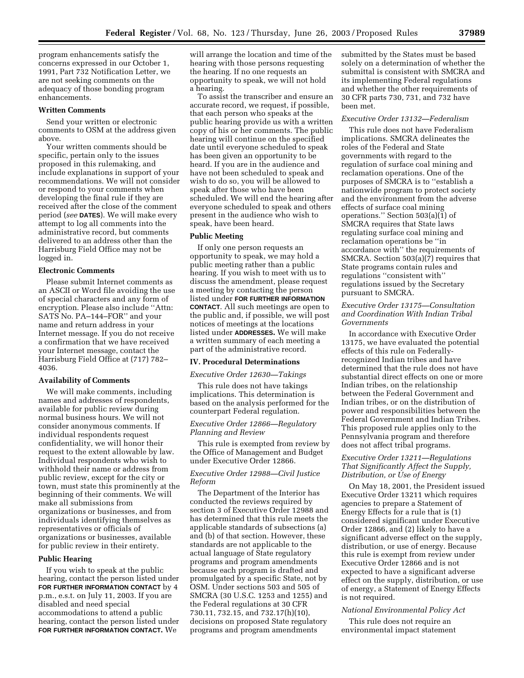program enhancements satisfy the concerns expressed in our October 1, 1991, Part 732 Notification Letter, we are not seeking comments on the adequacy of those bonding program enhancements.

#### **Written Comments**

Send your written or electronic comments to OSM at the address given above.

Your written comments should be specific, pertain only to the issues proposed in this rulemaking, and include explanations in support of your recommendations. We will not consider or respond to your comments when developing the final rule if they are received after the close of the comment period (*see* **DATES**). We will make every attempt to log all comments into the administrative record, but comments delivered to an address other than the Harrisburg Field Office may not be logged in.

### **Electronic Comments**

Please submit Internet comments as an ASCII or Word file avoiding the use of special characters and any form of encryption. Please also include ''Attn: SATS No. PA–144–FOR'' and your name and return address in your Internet message. If you do not receive a confirmation that we have received your Internet message, contact the Harrisburg Field Office at (717) 782– 4036.

#### **Availability of Comments**

We will make comments, including names and addresses of respondents, available for public review during normal business hours. We will not consider anonymous comments. If individual respondents request confidentiality, we will honor their request to the extent allowable by law. Individual respondents who wish to withhold their name or address from public review, except for the city or town, must state this prominently at the beginning of their comments. We will make all submissions from organizations or businesses, and from individuals identifying themselves as representatives or officials of organizations or businesses, available for public review in their entirety.

### **Public Hearing**

If you wish to speak at the public hearing, contact the person listed under **FOR FURTHER INFORMATION CONTACT** by 4 p.m., e.s.t. on July 11, 2003. If you are disabled and need special accommodations to attend a public hearing, contact the person listed under **FOR FURTHER INFORMATION CONTACT.** We

will arrange the location and time of the hearing with those persons requesting the hearing. If no one requests an opportunity to speak, we will not hold a hearing.

To assist the transcriber and ensure an accurate record, we request, if possible, that each person who speaks at the public hearing provide us with a written copy of his or her comments. The public hearing will continue on the specified date until everyone scheduled to speak has been given an opportunity to be heard. If you are in the audience and have not been scheduled to speak and wish to do so, you will be allowed to speak after those who have been scheduled. We will end the hearing after everyone scheduled to speak and others present in the audience who wish to speak, have been heard.

#### **Public Meeting**

If only one person requests an opportunity to speak, we may hold a public meeting rather than a public hearing. If you wish to meet with us to discuss the amendment, please request a meeting by contacting the person listed under **FOR FURTHER INFORMATION CONTACT**. All such meetings are open to the public and, if possible, we will post notices of meetings at the locations listed under **ADDRESSES.** We will make a written summary of each meeting a part of the administrative record.

#### **IV. Procedural Determinations**

#### *Executive Order 12630—Takings*

This rule does not have takings implications. This determination is based on the analysis performed for the counterpart Federal regulation.

#### *Executive Order 12866—Regulatory Planning and Review*

This rule is exempted from review by the Office of Management and Budget under Executive Order 12866.

## *Executive Order 12988—Civil Justice Reform*

The Department of the Interior has conducted the reviews required by section 3 of Executive Order 12988 and has determined that this rule meets the applicable standards of subsections (a) and (b) of that section. However, these standards are not applicable to the actual language of State regulatory programs and program amendments because each program is drafted and promulgated by a specific State, not by OSM. Under sections 503 and 505 of SMCRA (30 U.S.C. 1253 and 1255) and the Federal regulations at 30 CFR 730.11, 732.15, and 732.17(h)(10), decisions on proposed State regulatory programs and program amendments

submitted by the States must be based solely on a determination of whether the submittal is consistent with SMCRA and its implementing Federal regulations and whether the other requirements of 30 CFR parts 730, 731, and 732 have been met.

### *Executive Order 13132—Federalism*

This rule does not have Federalism implications. SMCRA delineates the roles of the Federal and State governments with regard to the regulation of surface coal mining and reclamation operations. One of the purposes of SMCRA is to ''establish a nationwide program to protect society and the environment from the adverse effects of surface coal mining operations." Section  $503(a)(1)$  of SMCRA requires that State laws regulating surface coal mining and reclamation operations be ''in accordance with'' the requirements of SMCRA. Section 503(a)(7) requires that State programs contain rules and regulations ''consistent with'' regulations issued by the Secretary pursuant to SMCRA.

### *Executive Order 13175—Consultation and Coordination With Indian Tribal Governments*

In accordance with Executive Order 13175, we have evaluated the potential effects of this rule on Federallyrecognized Indian tribes and have determined that the rule does not have substantial direct effects on one or more Indian tribes, on the relationship between the Federal Government and Indian tribes, or on the distribution of power and responsibilities between the Federal Government and Indian Tribes. This proposed rule applies only to the Pennsylvania program and therefore does not affect tribal programs.

## *Executive Order 13211—Regulations That Significantly Affect the Supply, Distribution, or Use of Energy*

On May 18, 2001, the President issued Executive Order 13211 which requires agencies to prepare a Statement of Energy Effects for a rule that is (1) considered significant under Executive Order 12866, and (2) likely to have a significant adverse effect on the supply, distribution, or use of energy. Because this rule is exempt from review under Executive Order 12866 and is not expected to have a significant adverse effect on the supply, distribution, or use of energy, a Statement of Energy Effects is not required.

### *National Environmental Policy Act*

This rule does not require an environmental impact statement